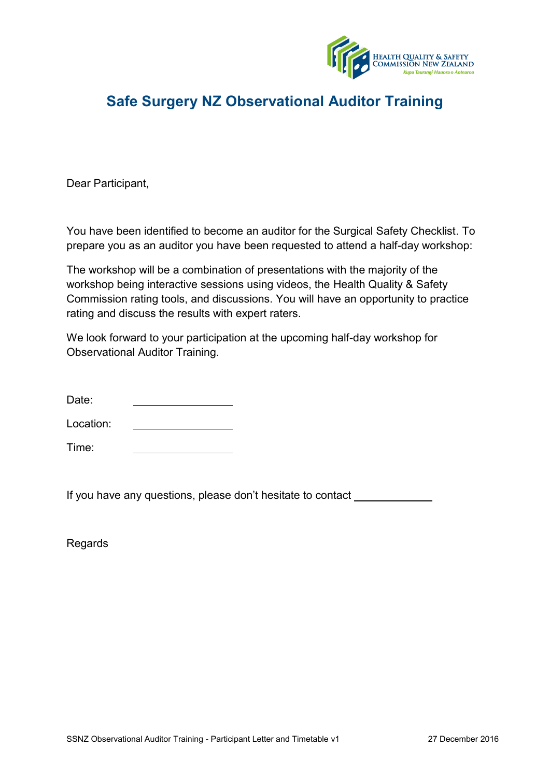

## **Safe Surgery NZ Observational Auditor Training**

Dear Participant,

You have been identified to become an auditor for the Surgical Safety Checklist. To prepare you as an auditor you have been requested to attend a half-day workshop:

The workshop will be a combination of presentations with the majority of the workshop being interactive sessions using videos, the Health Quality & Safety Commission rating tools, and discussions. You will have an opportunity to practice rating and discuss the results with expert raters.

We look forward to your participation at the upcoming half-day workshop for Observational Auditor Training.

| Date: |  |
|-------|--|
|       |  |

Location:

Time:

If you have any questions, please don't hesitate to contact

Regards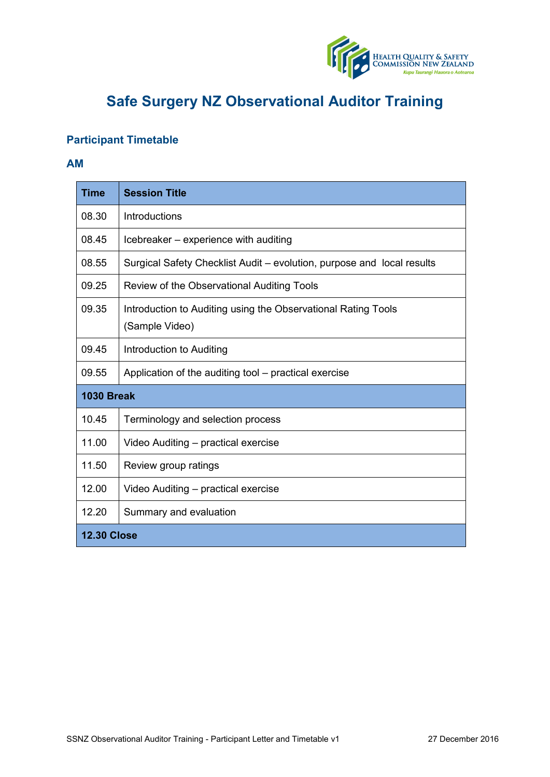

# **Safe Surgery NZ Observational Auditor Training**

### **Participant Timetable**

#### **AM**

| <b>Time</b>        | <b>Session Title</b>                                                            |  |
|--------------------|---------------------------------------------------------------------------------|--|
| 08.30              | Introductions                                                                   |  |
| 08.45              | Icebreaker - experience with auditing                                           |  |
| 08.55              | Surgical Safety Checklist Audit – evolution, purpose and local results          |  |
| 09.25              | Review of the Observational Auditing Tools                                      |  |
| 09.35              | Introduction to Auditing using the Observational Rating Tools<br>(Sample Video) |  |
| 09.45              | Introduction to Auditing                                                        |  |
| 09.55              | Application of the auditing tool – practical exercise                           |  |
| <b>1030 Break</b>  |                                                                                 |  |
| 10.45              | Terminology and selection process                                               |  |
| 11.00              | Video Auditing – practical exercise                                             |  |
| 11.50              | Review group ratings                                                            |  |
| 12.00              | Video Auditing – practical exercise                                             |  |
| 12.20              | Summary and evaluation                                                          |  |
| <b>12.30 Close</b> |                                                                                 |  |